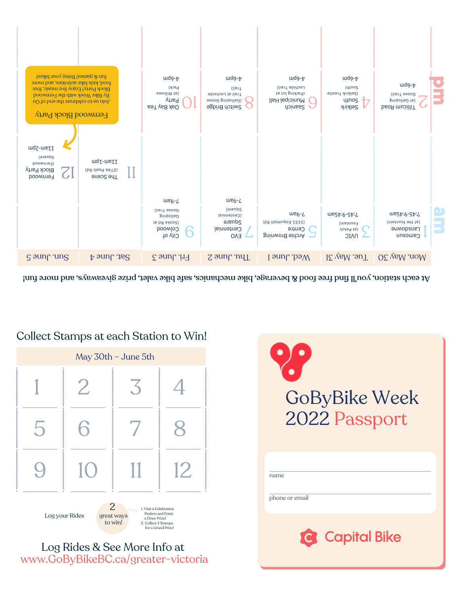Log Rides & See More Info at www.GoByBikeBC.ca/greater-victoria







## GoByBike Week

At each station, you'll find free bood  $\&$  boosing, bindary as, safe biky valus bindary, prisor as a fluming  $\hbar\omega$